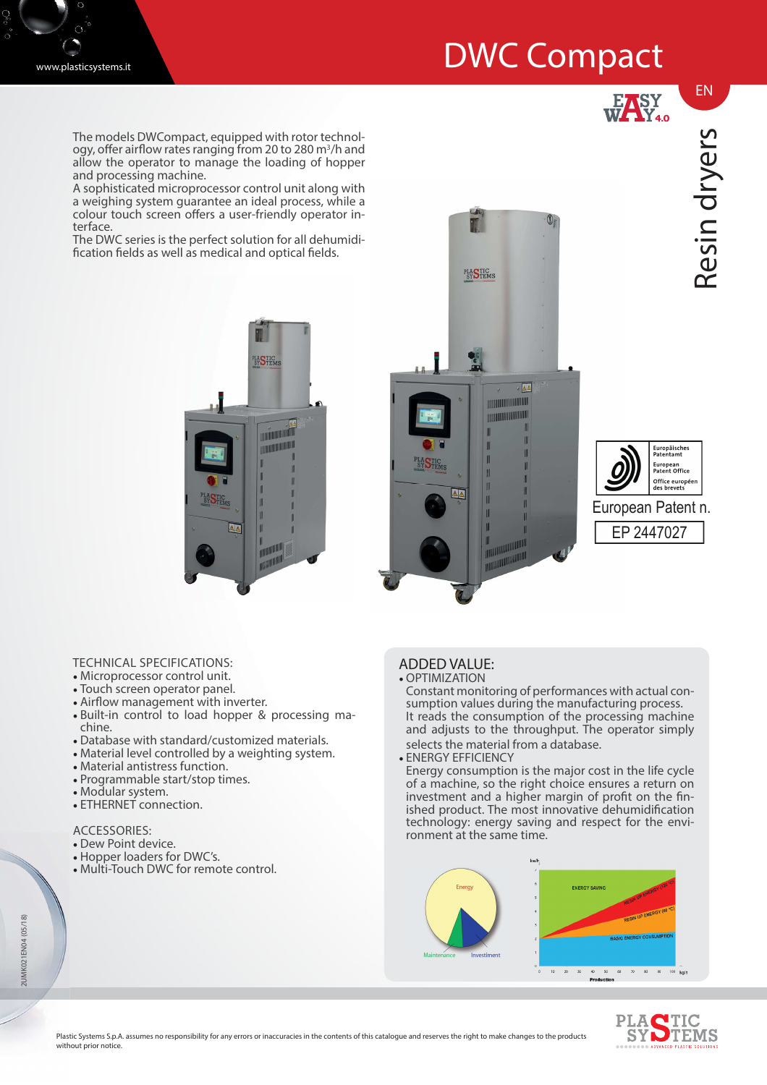## DWC Compact



EASY<br>WAY<sub>4.0</sub>

Resin dryers

EN

The models DWCompact, equipped with rotor technology, offer airflow rates ranging from 20 to 280 m<sup>3</sup>/h and allow the operator to manage the loading of hopper and processing machine.

A sophisticated microprocessor control unit along with a weighing system guarantee an ideal process, while a colour touch screen offers a user-friendly operator interface.

The DWC series is the perfect solution for all dehumidi fication fields as well as medical and optical fields.







- TECHNICAL SPECIFICATIONS:
- Microprocessor control unit.
- Touch screen operator panel.
- Airflow management with inverter.
- Built-in control to load hopper & processing machine.
- Database with standard/customized materials.
- Material level controlled by a weighting system.
- Material antistress function.
- Programmable start/stop times.
- Modular system.
- ETHERNET connection.

## ACCESSORIES:

- Dew Point device.
- Hopper loaders for DWC's.
- Multi-Touch DWC for remote control.

## ADDED VALUE: • OPTIMIZATION

- Constant monitoring of performances with actual consumption values during the manufacturing process. It reads the consumption of the processing machine and adjusts to the throughput. The operator simply selects the material from a database.
- ENERGY EFFICIENCY

Energy consumption is the major cost in the life cycle of a machine, so the right choice ensures a return on investment and a higher margin of profit on the finished product. The most innovative dehumidification technology: energy saving and respect for the environment at the same time.





2UMK021EN04 (05/18) 2UMK021EN04 (05/18)

> Plastic Systems S.p.A. assumes no responsibility for any errors or inaccuracies in the contents of this catalogue and reserves the right to make changes to the products without prior notice.